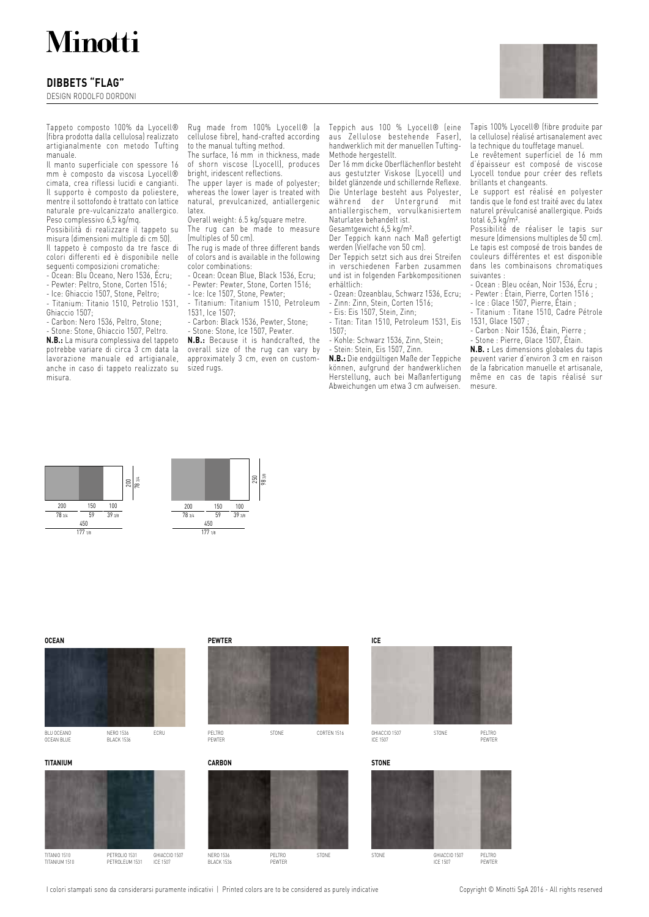# **Minotti**

## **DIBBETS "FLAG"**

DESIGN RODOLFO DORDONI

Tappeto composto 100% da Lyocell® (fibra prodotta dalla cellulosa) realizzato artigianalmente con metodo Tufting manuale.

Il manto superficiale con spessore 16 mm è composto da viscosa Lyocell® cimata, crea riflessi lucidi e cangianti. Il supporto è composto da poliestere, mentre il sottofondo è trattato con lattice naturale pre-vulcanizzato anallergico. Peso complessivo 6,5 kg/mq.

Possibilità di realizzare il tappeto su misura (dimensioni multiple di cm 50). Il tappeto è composto da tre fasce di colori differenti ed è disponibile nelle seguenti composizioni cromatiche:

- Ocean: Blu Oceano, Nero 1536, Écru;

- Pewter: Peltro, Stone, Corten 1516;

- Ice: Ghiaccio 1507, Stone, Peltro;

- Titanium: Titanio 1510, Petrolio 1531, Ghiaccio 1507;

- Carbon: Nero 1536, Peltro, Stone;

Stone: Stone, Ghiaccio 1507, Peltro.

**N.B.:** La misura complessiva del tappeto potrebbe variare di circa 3 cm data la lavorazione manuale ed artigianale, anche in caso di tappeto realizzato su misura.

Rug made from 100% Lyocell® (a cellulose fibre), hand-crafted according to the manual tufting method.

The surface, 16 mm in thickness, made of shorn viscose (Lyocell), produces bright, iridescent reflections.

The upper layer is made of polyester; whereas the lower layer is treated with natural, prevulcanized, antiallergenic latex.

Overall weight: 6.5 kg/square metre.

The rug can be made to measure (multiples of 50 cm).

The rug is made of three different bands of colors and is available in the following color combinations:

- Ocean: Ocean Blue, Black 1536, Ecru; - Pewter: Pewter, Stone, Corten 1516;
- Ice: Ice 1507, Stone, Pewter;

- Titanium: Titanium 1510, Petroleum 1531, Ice 1507;

- Carbon: Black 1536, Pewter, Stone;

Stone: Stone, Ice 1507, Pewter.

**N.B.:** Because it is handcrafted, the overall size of the rug can vary by approximately 3 cm, even on customTeppich aus 100 % Lyocell® (eine aus Zellulose bestehende Faser), handwerklich mit der manuellen Tufting-Methode hergestellt.

Der 16 mm dicke Oberflächenflor besteht aus gestutzter Viskose (Lyocell) und bildet glänzende und schillernde Reflexe. Die Unterlage besteht aus Polyester, während der Untergrund mit antiallergischem, vorvulkanisiertem Naturlatex behandelt ist.

Gesamtgewicht 6,5 kg/m².

Der Teppich kann nach Maß gefertigt werden (Vielfache von 50 cm).

Der Teppich setzt sich aus drei Streifen in verschiedenen Farben zusammen und ist in folgenden Farbkompositionen erhältlich:

- Ozean: Ozeanblau, Schwarz 1536, Ecru; - Zinn: Zinn, Stein, Corten 1516;

- Eis: Eis 1507, Stein, Zinn;

- Titan: Titan 1510, Petroleum 1531, Eis 1507;

- Kohle: Schwarz 1536, Zinn, Stein;

- Stein: Stein, Eis 1507, Zinn.

**N.B.:** Die endgültigen Maße der Teppiche können, aufgrund der handwerklichen Herstellung, auch bei Maßanfertigung Abweichungen um etwa 3 cm aufweisen.

Tapis 100% Lyocell® (fibre produite par la cellulose) réalisé artisanalement avec la technique du touffetage manuel.

Le revêtement superficiel de 16 mm d'épaisseur est composé de viscose Lyocell tondue pour créer des reflets brillants et changeants.

Le support est réalisé en polyester tandis que le fond est traité avec du latex naturel prévulcanisé anallergique. Poids total 6,5 kg/m².

Possibilité de réaliser le tapis sur mesure (dimensions multiples de 50 cm). Le tapis est composé de trois bandes de couleurs différentes et est disponible dans les combinaisons chromatiques suivantes

- Ocean : Bleu océan, Noir 1536, Écru ; - Pewter : Étain, Pierre, Corten 1516 ;

- Ice : Glace 1507, Pierre, Étain ; Titanium : Titane 1510, Cadre Pétrole

1531, Glace 1507 ; - Carbon : Noir 1536, Étain, Pierre ;

- Stone : Pierre, Glace 1507, Étain.

**N.B. :** Les dimensions globales du tapis peuvent varier d'environ 3 cm en raison de la fabrication manuelle et artisanale, même en cas de tapis réalisé sur mesure.





sized rugs.



STONE

TITANIO 1510 TITANIUM 1510

PETROLIO 1531 PETROLEUM 1531 GHIACCIO 1507 ICE 1507

NERO 1536 BLACK 1536 PELTRO PEWTER



GHIACCIO 1507 ICE 1507 PEWTER